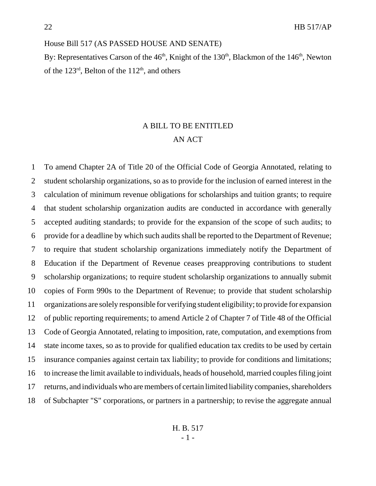House Bill 517 (AS PASSED HOUSE AND SENATE)

By: Representatives Carson of the  $46<sup>th</sup>$ , Knight of the  $130<sup>th</sup>$ , Blackmon of the  $146<sup>th</sup>$ , Newton of the  $123^{\text{rd}}$ , Belton of the  $112^{\text{th}}$ , and others

# A BILL TO BE ENTITLED AN ACT

 To amend Chapter 2A of Title 20 of the Official Code of Georgia Annotated, relating to student scholarship organizations, so as to provide for the inclusion of earned interest in the calculation of minimum revenue obligations for scholarships and tuition grants; to require that student scholarship organization audits are conducted in accordance with generally accepted auditing standards; to provide for the expansion of the scope of such audits; to provide for a deadline by which such audits shall be reported to the Department of Revenue; to require that student scholarship organizations immediately notify the Department of Education if the Department of Revenue ceases preapproving contributions to student scholarship organizations; to require student scholarship organizations to annually submit copies of Form 990s to the Department of Revenue; to provide that student scholarship organizations are solely responsible for verifying student eligibility; to provide for expansion of public reporting requirements; to amend Article 2 of Chapter 7 of Title 48 of the Official Code of Georgia Annotated, relating to imposition, rate, computation, and exemptions from state income taxes, so as to provide for qualified education tax credits to be used by certain insurance companies against certain tax liability; to provide for conditions and limitations; to increase the limit available to individuals, heads of household, married couples filing joint returns, and individuals who are members of certain limited liability companies, shareholders of Subchapter "S" corporations, or partners in a partnership; to revise the aggregate annual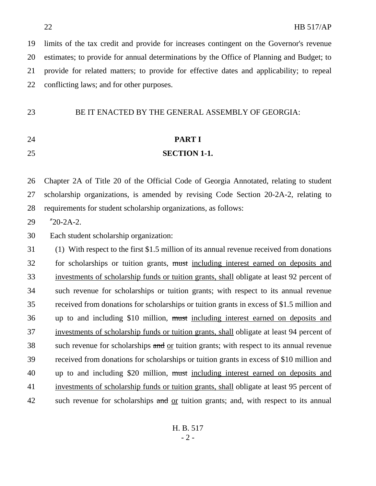limits of the tax credit and provide for increases contingent on the Governor's revenue estimates; to provide for annual determinations by the Office of Planning and Budget; to provide for related matters; to provide for effective dates and applicability; to repeal conflicting laws; and for other purposes.

BE IT ENACTED BY THE GENERAL ASSEMBLY OF GEORGIA:

# **PART I**

### **SECTION 1-1.**

 Chapter 2A of Title 20 of the Official Code of Georgia Annotated, relating to student scholarship organizations, is amended by revising Code Section 20-2A-2, relating to requirements for student scholarship organizations, as follows:

"20-2A-2.

Each student scholarship organization:

 (1) With respect to the first \$1.5 million of its annual revenue received from donations 32 for scholarships or tuition grants, must including interest earned on deposits and investments of scholarship funds or tuition grants, shall obligate at least 92 percent of such revenue for scholarships or tuition grants; with respect to its annual revenue received from donations for scholarships or tuition grants in excess of \$1.5 million and 36 up to and including \$10 million, must including interest earned on deposits and investments of scholarship funds or tuition grants, shall obligate at least 94 percent of 38 such revenue for scholarships and or tuition grants; with respect to its annual revenue received from donations for scholarships or tuition grants in excess of \$10 million and 40 up to and including \$20 million, must including interest earned on deposits and investments of scholarship funds or tuition grants, shall obligate at least 95 percent of 42 such revenue for scholarships and <u>or</u> tuition grants; and, with respect to its annual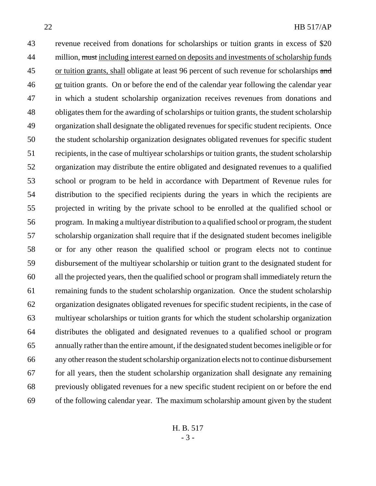revenue received from donations for scholarships or tuition grants in excess of \$20 44 million, must including interest earned on deposits and investments of scholarship funds 45 or tuition grants, shall obligate at least 96 percent of such revenue for scholarships and or tuition grants. On or before the end of the calendar year following the calendar year in which a student scholarship organization receives revenues from donations and obligates them for the awarding of scholarships or tuition grants, the student scholarship organization shall designate the obligated revenues for specific student recipients. Once the student scholarship organization designates obligated revenues for specific student recipients, in the case of multiyear scholarships or tuition grants, the student scholarship organization may distribute the entire obligated and designated revenues to a qualified school or program to be held in accordance with Department of Revenue rules for distribution to the specified recipients during the years in which the recipients are projected in writing by the private school to be enrolled at the qualified school or program. In making a multiyear distribution to a qualified school or program, the student scholarship organization shall require that if the designated student becomes ineligible or for any other reason the qualified school or program elects not to continue disbursement of the multiyear scholarship or tuition grant to the designated student for all the projected years, then the qualified school or program shall immediately return the remaining funds to the student scholarship organization. Once the student scholarship organization designates obligated revenues for specific student recipients, in the case of multiyear scholarships or tuition grants for which the student scholarship organization distributes the obligated and designated revenues to a qualified school or program annually rather than the entire amount, if the designated student becomes ineligible or for any other reason the student scholarship organization elects not to continue disbursement for all years, then the student scholarship organization shall designate any remaining previously obligated revenues for a new specific student recipient on or before the end of the following calendar year. The maximum scholarship amount given by the student

H. B. 517 - 3 -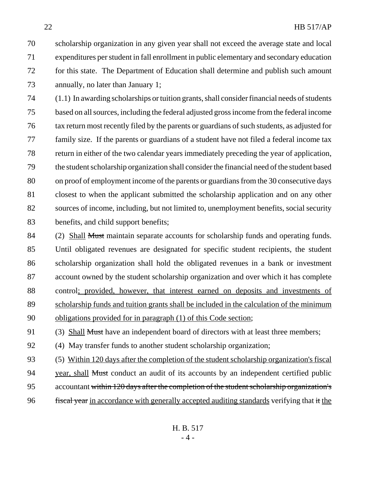scholarship organization in any given year shall not exceed the average state and local expenditures per student in fall enrollment in public elementary and secondary education for this state. The Department of Education shall determine and publish such amount annually, no later than January 1;

 (1.1) In awarding scholarships or tuition grants, shall consider financial needs of students based on all sources, including the federal adjusted gross income from the federal income tax return most recently filed by the parents or guardians of such students, as adjusted for family size. If the parents or guardians of a student have not filed a federal income tax return in either of the two calendar years immediately preceding the year of application, the student scholarship organization shall consider the financial need of the student based on proof of employment income of the parents or guardians from the 30 consecutive days closest to when the applicant submitted the scholarship application and on any other sources of income, including, but not limited to, unemployment benefits, social security benefits, and child support benefits;

84 (2) Shall Must maintain separate accounts for scholarship funds and operating funds. Until obligated revenues are designated for specific student recipients, the student scholarship organization shall hold the obligated revenues in a bank or investment account owned by the student scholarship organization and over which it has complete control; provided, however, that interest earned on deposits and investments of scholarship funds and tuition grants shall be included in the calculation of the minimum obligations provided for in paragraph (1) of this Code section;

91 (3) Shall Must have an independent board of directors with at least three members;

(4) May transfer funds to another student scholarship organization;

 (5) Within 120 days after the completion of the student scholarship organization's fiscal 94 vear, shall Must conduct an audit of its accounts by an independent certified public accountant within 120 days after the completion of the student scholarship organization's 96 fiscal year in accordance with generally accepted auditing standards verifying that it the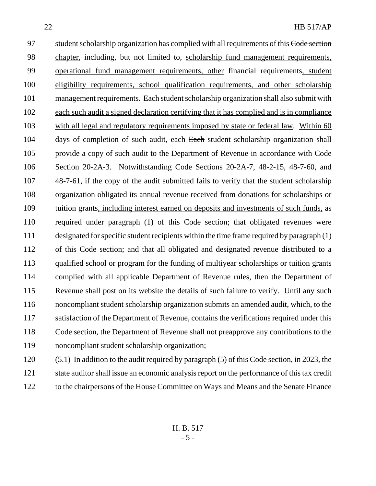97 student scholarship organization has complied with all requirements of this Code section chapter, including, but not limited to, scholarship fund management requirements, operational fund management requirements, other financial requirements, student eligibility requirements, school qualification requirements, and other scholarship management requirements. Each student scholarship organization shall also submit with each such audit a signed declaration certifying that it has complied and is in compliance with all legal and regulatory requirements imposed by state or federal law. Within 60 104 days of completion of such audit, each Each student scholarship organization shall provide a copy of such audit to the Department of Revenue in accordance with Code Section 20-2A-3. Notwithstanding Code Sections 20-2A-7, 48-2-15, 48-7-60, and 48-7-61, if the copy of the audit submitted fails to verify that the student scholarship organization obligated its annual revenue received from donations for scholarships or tuition grants, including interest earned on deposits and investments of such funds, as required under paragraph (1) of this Code section; that obligated revenues were designated for specific student recipients within the time frame required by paragraph (1) of this Code section; and that all obligated and designated revenue distributed to a qualified school or program for the funding of multiyear scholarships or tuition grants complied with all applicable Department of Revenue rules, then the Department of Revenue shall post on its website the details of such failure to verify. Until any such noncompliant student scholarship organization submits an amended audit, which, to the 117 satisfaction of the Department of Revenue, contains the verifications required under this Code section, the Department of Revenue shall not preapprove any contributions to the

- noncompliant student scholarship organization;
- (5.1) In addition to the audit required by paragraph (5) of this Code section, in 2023, the state auditor shall issue an economic analysis report on the performance of this tax credit to the chairpersons of the House Committee on Ways and Means and the Senate Finance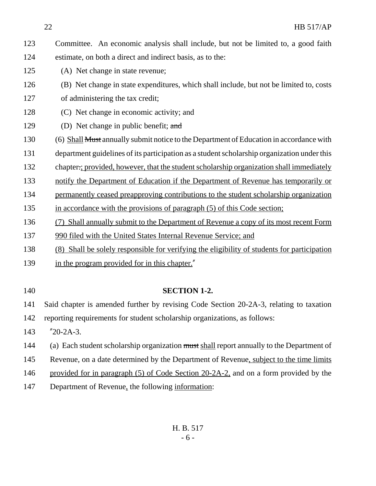Committee. An economic analysis shall include, but not be limited to, a good faith estimate, on both a direct and indirect basis, as to the:

- (A) Net change in state revenue;
- (B) Net change in state expenditures, which shall include, but not be limited to, costs of administering the tax credit;
- (C) Net change in economic activity; and
- 129 (D) Net change in public benefit; and

(6) Shall Must annually submit notice to the Department of Education in accordance with

department guidelines of its participation as a student scholarship organization under this

chapter.; provided, however, that the student scholarship organization shall immediately

notify the Department of Education if the Department of Revenue has temporarily or

- permanently ceased preapproving contributions to the student scholarship organization
- in accordance with the provisions of paragraph (5) of this Code section;
- (7) Shall annually submit to the Department of Revenue a copy of its most recent Form
- 990 filed with the United States Internal Revenue Service; and
- (8) Shall be solely responsible for verifying the eligibility of students for participation
- 139 in the program provided for in this chapter."
- 

## **SECTION 1-2.**

Said chapter is amended further by revising Code Section 20-2A-3, relating to taxation

reporting requirements for student scholarship organizations, as follows:

- "20-2A-3.
- 144 (a) Each student scholarship organization must shall report annually to the Department of
- Revenue, on a date determined by the Department of Revenue, subject to the time limits
- 146 provided for in paragraph (5) of Code Section 20-2A-2, and on a form provided by the
- Department of Revenue, the following information: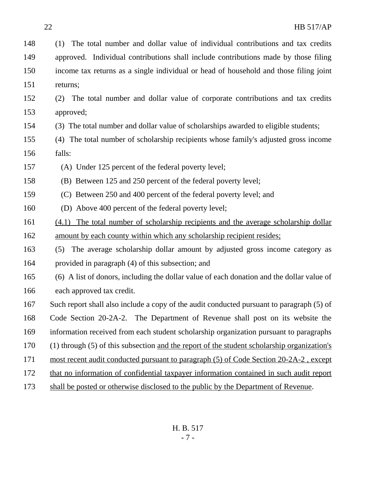(1) The total number and dollar value of individual contributions and tax credits approved. Individual contributions shall include contributions made by those filing income tax returns as a single individual or head of household and those filing joint returns;

- (2) The total number and dollar value of corporate contributions and tax credits approved;
- (3) The total number and dollar value of scholarships awarded to eligible students;
- (4) The total number of scholarship recipients whose family's adjusted gross income falls:
- (A) Under 125 percent of the federal poverty level;
- (B) Between 125 and 250 percent of the federal poverty level;
- (C) Between 250 and 400 percent of the federal poverty level; and
- (D) Above 400 percent of the federal poverty level;
- (4.1) The total number of scholarship recipients and the average scholarship dollar 162 amount by each county within which any scholarship recipient resides;
- (5) The average scholarship dollar amount by adjusted gross income category as provided in paragraph (4) of this subsection; and
- (6) A list of donors, including the dollar value of each donation and the dollar value of each approved tax credit.
- Such report shall also include a copy of the audit conducted pursuant to paragraph (5) of Code Section 20-2A-2. The Department of Revenue shall post on its website the information received from each student scholarship organization pursuant to paragraphs (1) through (5) of this subsection and the report of the student scholarship organization's most recent audit conducted pursuant to paragraph (5) of Code Section 20-2A-2 , except
- that no information of confidential taxpayer information contained in such audit report
- shall be posted or otherwise disclosed to the public by the Department of Revenue.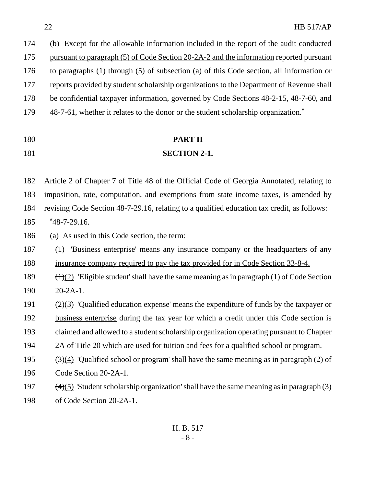| 174 | (b) Except for the allowable information included in the report of the audit conducted   |
|-----|------------------------------------------------------------------------------------------|
| 175 | pursuant to paragraph (5) of Code Section 20-2A-2 and the information reported pursuant  |
| 176 | to paragraphs (1) through (5) of subsection (a) of this Code section, all information or |
| 177 | reports provided by student scholarship organizations to the Department of Revenue shall |
| 178 | be confidential taxpayer information, governed by Code Sections 48-2-15, 48-7-60, and    |
| 179 | 48-7-61, whether it relates to the donor or the student scholarship organization."       |
|     |                                                                                          |

### **PART II**

#### **SECTION 2-1.**

 Article 2 of Chapter 7 of Title 48 of the Official Code of Georgia Annotated, relating to imposition, rate, computation, and exemptions from state income taxes, is amended by revising Code Section 48-7-29.16, relating to a qualified education tax credit, as follows:

"48-7-29.16.

(a) As used in this Code section, the term:

 (1) 'Business enterprise' means any insurance company or the headquarters of any insurance company required to pay the tax provided for in Code Section 33-8-4.

189  $(\text{H})(2)$  'Eligible student' shall have the same meaning as in paragraph (1) of Code Section 20-2A-1.

 $\left(2\right)(3)$  'Qualified education expense' means the expenditure of funds by the taxpayer or business enterprise during the tax year for which a credit under this Code section is claimed and allowed to a student scholarship organization operating pursuant to Chapter 2A of Title 20 which are used for tuition and fees for a qualified school or program.

195  $(3)(4)$  'Qualified school or program' shall have the same meaning as in paragraph (2) of

Code Section 20-2A-1.

- 197  $(4)(5)$  'Student scholarship organization' shall have the same meaning as in paragraph (3)
- of Code Section 20-2A-1.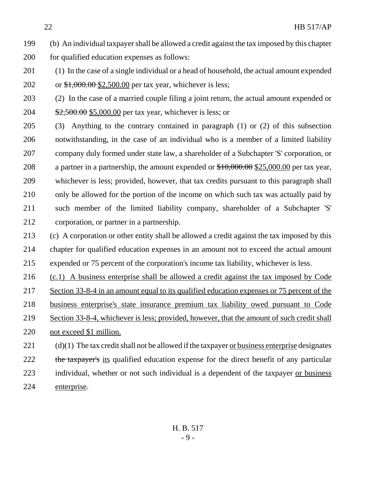- (b) An individual taxpayer shall be allowed a credit against the tax imposed by this chapter for qualified education expenses as follows:
- (1) In the case of a single individual or a head of household, the actual amount expended 202 or  $\frac{$1,000.00}{$2,500.00}$  per tax year, whichever is less;
- (2) In the case of a married couple filing a joint return, the actual amount expended or 204 \$2,500.00 \$5,000.00 per tax year, whichever is less; or
- (3) Anything to the contrary contained in paragraph (1) or (2) of this subsection notwithstanding, in the case of an individual who is a member of a limited liability company duly formed under state law, a shareholder of a Subchapter 'S' corporation, or 208 a partner in a partnership, the amount expended or  $$10,000.00$  \$25,000.00 per tax year, whichever is less; provided, however, that tax credits pursuant to this paragraph shall only be allowed for the portion of the income on which such tax was actually paid by such member of the limited liability company, shareholder of a Subchapter 'S' corporation, or partner in a partnership.
- (c) A corporation or other entity shall be allowed a credit against the tax imposed by this chapter for qualified education expenses in an amount not to exceed the actual amount expended or 75 percent of the corporation's income tax liability, whichever is less.
- (c.1) A business enterprise shall be allowed a credit against the tax imposed by Code
- Section 33-8-4 in an amount equal to its qualified education expenses or 75 percent of the
- business enterprise's state insurance premium tax liability owed pursuant to Code
- Section 33-8-4, whichever is less; provided, however, that the amount of such credit shall
- not exceed \$1 million.
- (d)(1) The tax credit shall not be allowed if the taxpayer or business enterprise designates 222 the taxpayer's its qualified education expense for the direct benefit of any particular individual, whether or not such individual is a dependent of the taxpayer or business enterprise.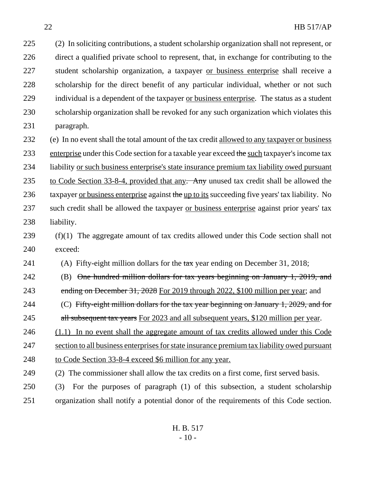(2) In soliciting contributions, a student scholarship organization shall not represent, or direct a qualified private school to represent, that, in exchange for contributing to the student scholarship organization, a taxpayer or business enterprise shall receive a scholarship for the direct benefit of any particular individual, whether or not such individual is a dependent of the taxpayer or business enterprise. The status as a student scholarship organization shall be revoked for any such organization which violates this paragraph. (e) In no event shall the total amount of the tax credit allowed to any taxpayer or business 233 enterprise under this Code section for a taxable year exceed the such taxpayer's income tax liability or such business enterprise's state insurance premium tax liability owed pursuant 235 to Code Section 33-8-4, provided that any. Any unused tax credit shall be allowed the 236 taxpayer or business enterprise against the up to its succeeding five years' tax liability. No such credit shall be allowed the taxpayer or business enterprise against prior years' tax

- liability.
- (f)(1) The aggregate amount of tax credits allowed under this Code section shall not exceed:

241 (A) Fifty-eight million dollars for the tax year ending on December 31, 2018;

 (B) One hundred million dollars for tax years beginning on January 1, 2019, and ending on December 31, 2028 For 2019 through 2022, \$100 million per year; and

244 (C) Fifty-eight million dollars for the tax year beginning on January 1, 2029, and for 245 all subsequent tax years For 2023 and all subsequent years, \$120 million per year.

246 (1.1) In no event shall the aggregate amount of tax credits allowed under this Code

section to all business enterprises for state insurance premium tax liability owed pursuant

- to Code Section 33-8-4 exceed \$6 million for any year.
- (2) The commissioner shall allow the tax credits on a first come, first served basis.
- (3) For the purposes of paragraph (1) of this subsection, a student scholarship organization shall notify a potential donor of the requirements of this Code section.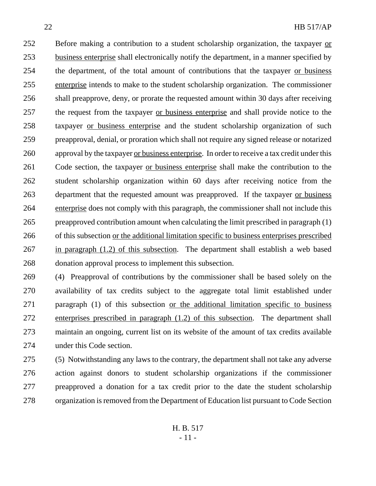252 Before making a contribution to a student scholarship organization, the taxpayer or business enterprise shall electronically notify the department, in a manner specified by the department, of the total amount of contributions that the taxpayer or business enterprise intends to make to the student scholarship organization. The commissioner shall preapprove, deny, or prorate the requested amount within 30 days after receiving the request from the taxpayer or business enterprise and shall provide notice to the taxpayer or business enterprise and the student scholarship organization of such preapproval, denial, or proration which shall not require any signed release or notarized approval by the taxpayer or business enterprise. In order to receive a tax credit under this Code section, the taxpayer or business enterprise shall make the contribution to the student scholarship organization within 60 days after receiving notice from the department that the requested amount was preapproved. If the taxpayer or business enterprise does not comply with this paragraph, the commissioner shall not include this preapproved contribution amount when calculating the limit prescribed in paragraph (1) of this subsection or the additional limitation specific to business enterprises prescribed in paragraph (1.2) of this subsection. The department shall establish a web based donation approval process to implement this subsection.

 (4) Preapproval of contributions by the commissioner shall be based solely on the availability of tax credits subject to the aggregate total limit established under paragraph (1) of this subsection or the additional limitation specific to business enterprises prescribed in paragraph (1.2) of this subsection. The department shall maintain an ongoing, current list on its website of the amount of tax credits available under this Code section.

 (5) Notwithstanding any laws to the contrary, the department shall not take any adverse action against donors to student scholarship organizations if the commissioner preapproved a donation for a tax credit prior to the date the student scholarship organization is removed from the Department of Education list pursuant to Code Section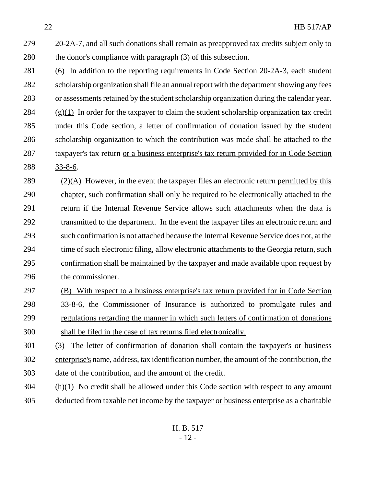- 20-2A-7, and all such donations shall remain as preapproved tax credits subject only to the donor's compliance with paragraph (3) of this subsection.
- (6) In addition to the reporting requirements in Code Section 20-2A-3, each student scholarship organization shall file an annual report with the department showing any fees or assessments retained by the student scholarship organization during the calendar year. (g)(1) In order for the taxpayer to claim the student scholarship organization tax credit under this Code section, a letter of confirmation of donation issued by the student scholarship organization to which the contribution was made shall be attached to the taxpayer's tax return or a business enterprise's tax return provided for in Code Section 33-8-6.
- (2)(A) However, in the event the taxpayer files an electronic return permitted by this chapter, such confirmation shall only be required to be electronically attached to the return if the Internal Revenue Service allows such attachments when the data is transmitted to the department. In the event the taxpayer files an electronic return and such confirmation is not attached because the Internal Revenue Service does not, at the time of such electronic filing, allow electronic attachments to the Georgia return, such confirmation shall be maintained by the taxpayer and made available upon request by the commissioner.
- (B) With respect to a business enterprise's tax return provided for in Code Section 33-8-6, the Commissioner of Insurance is authorized to promulgate rules and regulations regarding the manner in which such letters of confirmation of donations shall be filed in the case of tax returns filed electronically.
- (3) The letter of confirmation of donation shall contain the taxpayer's or business enterprise's name, address, tax identification number, the amount of the contribution, the date of the contribution, and the amount of the credit.
- (h)(1) No credit shall be allowed under this Code section with respect to any amount deducted from taxable net income by the taxpayer or business enterprise as a charitable